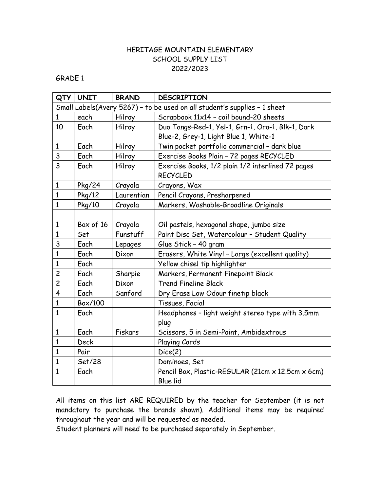#### GRADE 1

| QTY            | <b>UNIT</b>                                                               | <b>BRAND</b> | <b>DESCRIPTION</b>                                                   |  |  |  |
|----------------|---------------------------------------------------------------------------|--------------|----------------------------------------------------------------------|--|--|--|
|                | Small Labels(Avery 5267) - to be used on all student's supplies - 1 sheet |              |                                                                      |  |  |  |
| $\mathbf{1}$   | each                                                                      | Hilroy       | Scrapbook 11x14 - coil bound-20 sheets                               |  |  |  |
| 10             | Each                                                                      | Hilroy       | Duo Tangs-Red-1, Yel-1, Grn-1, Ora-1, Blk-1, Dark                    |  |  |  |
|                |                                                                           |              | Blue-2, Grey-1, Light Blue 1, White-1                                |  |  |  |
| $\mathbf{1}$   | Each                                                                      | Hilroy       | Twin pocket portfolio commercial - dark blue                         |  |  |  |
| 3              | Each                                                                      | Hilroy       | Exercise Books Plain - 72 pages RECYCLED                             |  |  |  |
| 3              | Each                                                                      | Hilroy       | Exercise Books, 1/2 plain 1/2 interlined 72 pages<br><b>RECYCLED</b> |  |  |  |
| $\mathbf{1}$   | Pkg/24                                                                    | Crayola      | Crayons, Wax                                                         |  |  |  |
| $\mathbf{1}$   | Pkg/12                                                                    | Laurentian   | Pencil Crayons, Presharpened                                         |  |  |  |
| $\mathbf{1}$   | Pkg/10                                                                    | Crayola      | Markers, Washable-Broadline Originals                                |  |  |  |
|                |                                                                           |              |                                                                      |  |  |  |
| $\mathbf{1}$   | Box of 16                                                                 | Crayola      | Oil pastels, hexagonal shape, jumbo size                             |  |  |  |
| $\mathbf{1}$   | Set                                                                       | Funstuff     | Paint Disc Set, Watercolour - Student Quality                        |  |  |  |
| 3              | Each                                                                      | Lepages      | Glue Stick - 40 gram                                                 |  |  |  |
| 1              | Each                                                                      | Dixon        | Erasers, White Vinyl - Large (excellent quality)                     |  |  |  |
| $\mathbf{1}$   | Each                                                                      |              | Yellow chisel tip highlighter                                        |  |  |  |
| $\overline{c}$ | Each                                                                      | Sharpie      | Markers, Permanent Finepoint Black                                   |  |  |  |
| $\overline{c}$ | Each                                                                      | Dixon        | <b>Trend Fineline Black</b>                                          |  |  |  |
| 4              | Each                                                                      | Sanford      | Dry Erase Low Odour finetip black                                    |  |  |  |
| $\mathbf{1}$   | Box/100                                                                   |              | Tissues, Facial                                                      |  |  |  |
| $\mathbf{1}$   | Each                                                                      |              | Headphones - light weight stereo type with 3.5mm                     |  |  |  |
|                |                                                                           |              | plug                                                                 |  |  |  |
| $\mathbf{1}$   | Each                                                                      | Fiskars      | Scissors, 5 in Semi-Point, Ambidextrous                              |  |  |  |
| 1              | <b>Deck</b>                                                               |              | Playing Cards                                                        |  |  |  |
| 1              | Pair                                                                      |              | Dice(2)                                                              |  |  |  |
| 1              | Set/28                                                                    |              | Dominoes, Set                                                        |  |  |  |
| $\mathbf{1}$   | Each                                                                      |              | Pencil Box, Plastic-REGULAR (21cm x 12.5cm x 6cm)                    |  |  |  |
|                |                                                                           |              | Blue lid                                                             |  |  |  |

All items on this list ARE REQUIRED by the teacher for September (it is not mandatory to purchase the brands shown). Additional items may be required throughout the year and will be requested as needed.

Student planners will need to be purchased separately in September.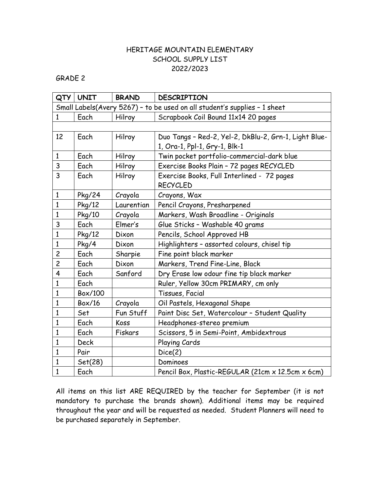### GRADE 2

| QTY                                                                       | <b>UNIT</b>   | <b>BRAND</b> | <b>DESCRIPTION</b>                                    |  |  |
|---------------------------------------------------------------------------|---------------|--------------|-------------------------------------------------------|--|--|
| Small Labels(Avery 5267) - to be used on all student's supplies - 1 sheet |               |              |                                                       |  |  |
| $\mathbf{1}$                                                              | Each          | Hilroy       | Scrapbook Coil Bound 11x14 20 pages                   |  |  |
|                                                                           |               |              |                                                       |  |  |
| 12                                                                        | Each          | Hilroy       | Duo Tangs - Red-2, Yel-2, DkBlu-2, Grn-1, Light Blue- |  |  |
|                                                                           |               |              | 1, Ora-1, Ppl-1, Gry-1, Blk-1                         |  |  |
| $\mathbf{1}$                                                              | Each          | Hilroy       | Twin pocket portfolio-commercial-dark blue            |  |  |
| 3                                                                         | Each          | Hilroy       | Exercise Books Plain - 72 pages RECYCLED              |  |  |
| 3                                                                         | Each          | Hilroy       | Exercise Books, Full Interlined - 72 pages            |  |  |
|                                                                           |               |              | <b>RECYCLED</b>                                       |  |  |
| $\mathbf{1}$                                                              | Pkg/24        | Crayola      | Crayons, Wax                                          |  |  |
| $\mathbf{1}$                                                              | Pkg/12        | Laurentian   | Pencil Crayons, Presharpened                          |  |  |
| $\mathbf{1}$                                                              | Pkg/10        | Crayola      | Markers, Wash Broadline - Originals                   |  |  |
| 3                                                                         | Each          | Elmer's      | Glue Sticks - Washable 40 grams                       |  |  |
| $\mathbf{1}$                                                              | Pkg/12        | Dixon        | Pencils, School Approved HB                           |  |  |
| $\mathbf{1}$                                                              | Pkg/4         | Dixon        | Highlighters - assorted colours, chisel tip           |  |  |
| $\overline{c}$                                                            | Each          | Sharpie      | Fine point black marker                               |  |  |
| $\overline{c}$                                                            | Each          | Dixon        | Markers, Trend Fine-Line, Black                       |  |  |
| 4                                                                         | Each          | Sanford      | Dry Erase low odour fine tip black marker             |  |  |
| $\mathbf{1}$                                                              | Each          |              | Ruler, Yellow 30cm PRIMARY, cm only                   |  |  |
| $\mathbf{1}$                                                              | Box/100       |              | Tissues, Facial                                       |  |  |
| $\overline{1}$                                                            | <b>Box/16</b> | Crayola      | Oil Pastels, Hexagonal Shape                          |  |  |
| $\overline{1}$                                                            | Set           | Fun Stuff    | Paint Disc Set, Watercolour - Student Quality         |  |  |
| $\mathbf{1}$                                                              | Each          | Koss         | Headphones-stereo premium                             |  |  |
| 1                                                                         | Each          | Fiskars      | Scissors, 5 in Semi-Point, Ambidextrous               |  |  |
| $\mathbf{1}$                                                              | <b>Deck</b>   |              | Playing Cards                                         |  |  |
| 1                                                                         | Pair          |              | Dice(2)                                               |  |  |
| 1                                                                         | Set(28)       |              | Dominoes                                              |  |  |
| $\mathbf{1}$                                                              | Each          |              | Pencil Box, Plastic-REGULAR (21cm x 12.5cm x 6cm)     |  |  |

All items on this list ARE REQUIRED by the teacher for September (it is not mandatory to purchase the brands shown). Additional items may be required throughout the year and will be requested as needed. Student Planners will need to be purchased separately in September.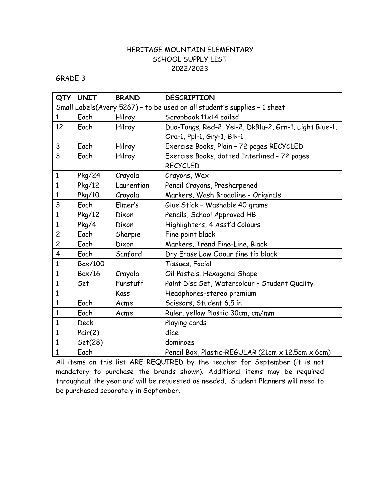GRADE 3

| QTY                                                                       | <b>UNIT</b> | <b>BRAND</b> | <b>DESCRIPTION</b>                                     |  |  |
|---------------------------------------------------------------------------|-------------|--------------|--------------------------------------------------------|--|--|
| Small Labels(Avery 5267) - to be used on all student's supplies - 1 sheet |             |              |                                                        |  |  |
| 1                                                                         | Each        | Hilroy       | Scrapbook 11x14 coiled                                 |  |  |
| 12                                                                        | Each        | Hilroy       | Duo-Tangs, Red-2, Yel-2, DkBlu-2, Grn-1, Light Blue-1, |  |  |
|                                                                           |             |              | Ora-1, Ppl-1, Gry-1, Blk-1                             |  |  |
| 3                                                                         | Each        | Hilroy       | Exercise Books, Plain - 72 pages RECYCLED              |  |  |
| $\overline{3}$                                                            | Each        | Hilroy       | Exercise Books, dotted Interlined - 72 pages           |  |  |
|                                                                           |             |              | <b>RECYCLED</b>                                        |  |  |
| $\mathbf{1}$                                                              | Pkg/24      | Crayola      | Crayons, Wax                                           |  |  |
| $\mathbf{1}$                                                              | Pkg/12      | Laurentian   | Pencil Crayons, Presharpened                           |  |  |
| $\mathbf{1}$                                                              | Pkg/10      | Crayola      | Markers, Wash Broadline - Originals                    |  |  |
| 3                                                                         | Each        | Elmer's      | Glue Stick - Washable 40 grams                         |  |  |
| $\mathbf{1}$                                                              | Pkg/12      | Dixon        | Pencils, School Approved HB                            |  |  |
| $\mathbf{1}$                                                              | Pkg/4       | Dixon        | Highlighters, 4 Asst'd Colours                         |  |  |
| $\overline{c}$                                                            | Each        | Sharpie      | Fine point black                                       |  |  |
| $\overline{c}$                                                            | Each        | Dixon        | Markers, Trend Fine-Line, Black                        |  |  |
| 4                                                                         | Each        | Sanford      | Dry Erase Low Odour fine tip black                     |  |  |
| $\mathbf{1}$                                                              | Box/100     |              | Tissues, Facial                                        |  |  |
| $\mathbf{1}$                                                              | Box/16      | Crayola      | Oil Pastels, Hexagonal Shape                           |  |  |
| $\mathbf{1}$                                                              | Set         | Funstuff     | Paint Disc Set, Watercolour - Student Quality          |  |  |
| $\mathbf{1}$                                                              |             | Koss         | Headphones-stereo premium                              |  |  |
| $\mathbf{1}$                                                              | Each        | Acme         | Scissors, Student 6.5 in                               |  |  |
| $\mathbf{1}$                                                              | Each        | Acme         | Ruler, yellow Plastic 30cm, cm/mm                      |  |  |
| 1                                                                         | <b>Deck</b> |              | Playing cards                                          |  |  |
| $\mathbf{1}$                                                              | Pair(2)     |              | dice                                                   |  |  |
| $\mathbf{1}$                                                              | Set(28)     |              | dominoes                                               |  |  |
| $\mathbf{1}$                                                              | Each        |              | Pencil Box, Plastic-REGULAR (21cm x 12.5cm x 6cm)      |  |  |

All items on this list ARE REQUIRED by the teacher for September (it is not mandatory to purchase the brands shown). Additional items may be required throughout the year and will be requested as needed. Student Planners will need to be purchased separately in September.